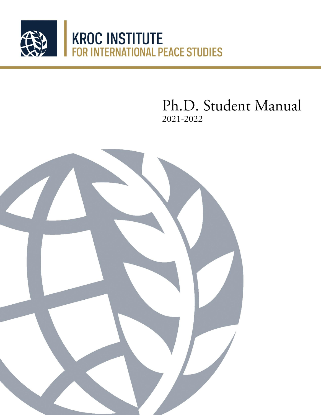

Ph.D. Student Manual 2021-2022

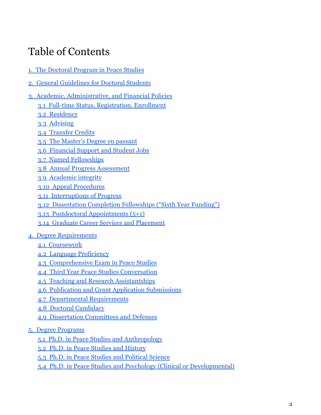# Table of Contents

- [1. The Doctoral Program in Peace Studies](#page-3-0)
- [2. General Guidelines for Doctoral Students](#page-5-0)
- [3. Academic, Administrative, and Financial Policies](#page-6-0)
	- [3.1 Full-time Status, Registration, Enrollment](#page-6-1)
	- [3.2 Residency](#page-6-2)
	- [3.3 Advising](#page-7-0)
	- [3.4 Transfer Credits](#page-7-1)
	- [3.5 The Master's Degree en passant](#page-7-2)
	- [3.6 Financial Support and Student Jobs](#page-8-0)
	- [3.7 Named Fellowships](#page-8-1)
	- [3.8 Annual Progress Assessment](#page-9-0)
	- [3.9 Academic integrity](#page-10-0)
	- [3.10 Appeal Procedures](#page-11-0)
	- [3.11 Interruptions of Progress](#page-12-0)
	- [3.12 Dissertation Completion Fellowships \("Sixth](#page-12-1) Year Funding")
	- [3.13 Postdoctoral Appointments \(5+1\)](#page-13-0)
	- [3.14 Graduate Career Services and Placement](#page-13-1)
- [4. Degree Requirements](#page-14-0)
	- [4.1 Coursework](#page-14-1)
	- [4.2 Language Proficiency](#page-15-0)
	- [4.3 Comprehensive Exam in Peace Studies](#page-16-0)
	- [4.4 Third Year Peace Studies Conversation](#page-21-0)
	- [4.5 Teaching and Research Assistantships](#page-21-1)
	- [4.6 Publication and Grant Application Submissions](#page-23-0)
	- [4.7 Departmental Requirements](#page-24-0)
	- [4.8 Doctoral Candidacy](#page-24-1)
	- [4.9 Dissertation Committees and Defenses](#page-25-0)
- [5. Degree Programs](#page-26-0)
	- [5.1 Ph.D. in Peace Studies and Anthropology](#page-27-0)
	- [5.2 Ph.D. in Peace Studies and History](#page-28-0)
	- [5.3 Ph.D. in Peace Studies and Political Science](#page-29-0)
	- [5.4 Ph.D. in Peace Studies and Psychology \(Clinical](#page-30-0) or Developmental)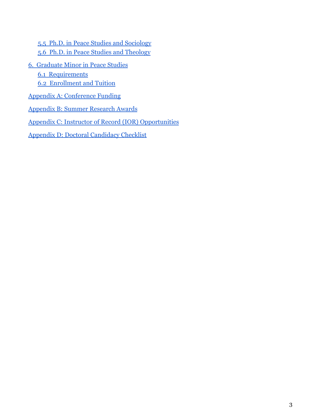[5.5 Ph.D. in Peace Studies and Sociology](#page-31-0) [5.6 Ph.D. in Peace Studies and Theology](#page-32-0)

- [6. Graduate Minor in Peace Studies](#page-33-0)
	- [6.1 Requirements](#page-33-1)

[6.2 Enrollment and Tuition](#page-33-2)

- [Appendix A: Conference Funding](#page-34-0)
- [Appendix B: Summer Research Awards](#page-36-0)

[Appendix C: Instructor of Record \(IOR\) Opportunities](#page-38-0)

[Appendix D: Doctoral Candidacy Checklist](#page-40-0)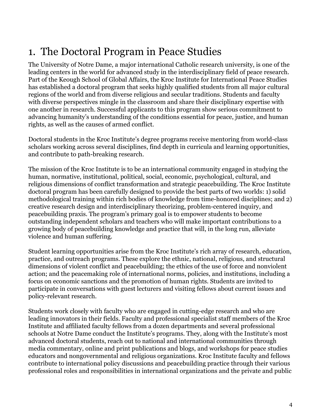# <span id="page-3-0"></span>1. The Doctoral Program in Peace Studies

The University of Notre Dame, a major international Catholic research university, is one of the leading centers in the world for advanced study in the interdisciplinary field of peace research. Part of the Keough School of Global Affairs, the Kroc Institute for International Peace Studies has established a doctoral program that seeks highly qualified students from all major cultural regions of the world and from diverse religious and secular traditions. Students and faculty with diverse perspectives mingle in the classroom and share their disciplinary expertise with one another in research. Successful applicants to this program show serious commitment to advancing humanity's understanding of the conditions essential for peace, justice, and human rights, as well as the causes of armed conflict.

Doctoral students in the Kroc Institute's degree programs receive mentoring from world-class scholars working across several disciplines, find depth in curricula and learning opportunities, and contribute to path-breaking research.

The mission of the Kroc Institute is to be an international community engaged in studying the human, normative, institutional, political, social, economic, psychological, cultural, and religious dimensions of conflict transformation and strategic peacebuilding. The Kroc Institute doctoral program has been carefully designed to provide the best parts of two worlds: 1) solid methodological training within rich bodies of knowledge from time-honored disciplines; and 2) creative research design and interdisciplinary theorizing, problem-centered inquiry, and peacebuilding praxis. The program's primary goal is to empower students to become outstanding independent scholars and teachers who will make important contributions to a growing body of peacebuilding knowledge and practice that will, in the long run, alleviate violence and human suffering.

Student learning opportunities arise from the Kroc Institute's rich array of research, education, practice, and outreach programs. These explore the ethnic, national, religious, and structural dimensions of violent conflict and peacebuilding; the ethics of the use of force and nonviolent action; and the peacemaking role of international norms, policies, and institutions, including a focus on economic sanctions and the promotion of human rights. Students are invited to participate in conversations with guest lecturers and visiting fellows about current issues and policy-relevant research.

Students work closely with faculty who are engaged in cutting-edge research and who are leading innovators in their fields. Faculty and professional specialist staff members of the Kroc Institute and affiliated faculty fellows from a dozen departments and several professional schools at Notre Dame conduct the Institute's programs. They, along with the Institute's most advanced doctoral students, reach out to national and international communities through media commentary, online and print publications and blogs, and workshops for peace studies educators and nongovernmental and religious organizations. Kroc Institute faculty and fellows contribute to international policy discussions and peacebuilding practice through their various professional roles and responsibilities in international organizations and the private and public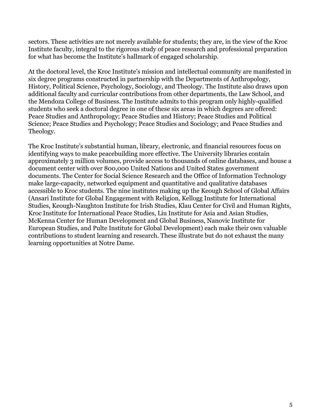sectors. These activities are not merely available for students; they are, in the view of the Kroc Institute faculty, integral to the rigorous study of peace research and professional preparation for what has become the Institute's hallmark of engaged scholarship.

At the doctoral level, the Kroc Institute's mission and intellectual community are manifested in six degree programs constructed in partnership with the Departments of Anthropology, History, Political Science, Psychology, Sociology, and Theology. The Institute also draws upon additional faculty and curricular contributions from other departments, the Law School, and the Mendoza College of Business. The Institute admits to this program only highly-qualified students who seek a doctoral degree in one of these six areas in which degrees are offered: Peace Studies and Anthropology; Peace Studies and History; Peace Studies and Political Science; Peace Studies and Psychology; Peace Studies and Sociology; and Peace Studies and Theology.

The Kroc Institute's substantial human, library, electronic, and financial resources focus on identifying ways to make peacebuilding more effective. The University libraries contain approximately 3 million volumes, provide access to thousands of online databases, and house a document center with over 800,000 United Nations and United States government documents. The Center for Social Science Research and the Office of Information Technology make large-capacity, networked equipment and quantitative and qualitative databases accessible to Kroc students. The nine institutes making up the Keough School of Global Affairs (Ansari Institute for Global Engagement with Religion, Kellogg Institute for International Studies, Keough-Naughton Institute for Irish Studies, Klau Center for Civil and Human Rights, Kroc Institute for International Peace Studies, Liu Institute for Asia and Asian Studies, McKenna Center for Human Development and Global Business, Nanovic Institute for European Studies, and Pulte Institute for Global Development) each make their own valuable contributions to student learning and research. These illustrate but do not exhaust the many learning opportunities at Notre Dame.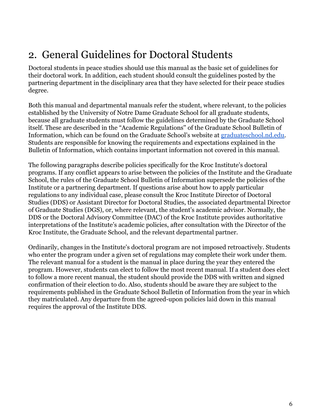# <span id="page-5-0"></span>2. General Guidelines for Doctoral Students

Doctoral students in peace studies should use this manual as the basic set of guidelines for their doctoral work. In addition, each student should consult the guidelines posted by the partnering department in the disciplinary area that they have selected for their peace studies degree.

Both this manual and departmental manuals refer the student, where relevant, to the policies established by the University of Notre Dame Graduate School for all graduate students, because all graduate students must follow the guidelines determined by the Graduate School itself. These are described in the "Academic Regulations'' of the Graduate School Bulletin of Information, which can be found on the Graduate School's website at [graduateschool.nd.edu.](https://graduateschool.nd.edu/) Students are responsible for knowing the requirements and expectations explained in the Bulletin of Information, which contains important information not covered in this manual.

The following paragraphs describe policies specifically for the Kroc Institute's doctoral programs. If any conflict appears to arise between the policies of the Institute and the Graduate School, the rules of the Graduate School Bulletin of Information supersede the policies of the Institute or a partnering department. If questions arise about how to apply particular regulations to any individual case, please consult the Kroc Institute Director of Doctoral Studies (DDS) or Assistant Director for Doctoral Studies, the associated departmental Director of Graduate Studies (DGS), or, where relevant, the student's academic advisor. Normally, the DDS or the Doctoral Advisory Committee (DAC) of the Kroc Institute provides authoritative interpretations of the Institute's academic policies, after consultation with the Director of the Kroc Institute, the Graduate School, and the relevant departmental partner.

Ordinarily, changes in the Institute's doctoral program are not imposed retroactively. Students who enter the program under a given set of regulations may complete their work under them. The relevant manual for a student is the manual in place during the year they entered the program. However, students can elect to follow the most recent manual. If a student does elect to follow a more recent manual, the student should provide the DDS with written and signed confirmation of their election to do. Also, students should be aware they are subject to the requirements published in the Graduate School Bulletin of Information from the year in which they matriculated. Any departure from the agreed-upon policies laid down in this manual requires the approval of the Institute DDS.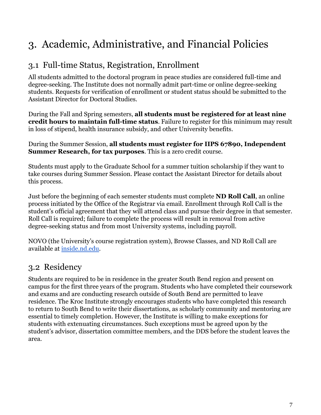# <span id="page-6-0"></span>3. Academic, Administrative, and Financial Policies

# <span id="page-6-1"></span>3.1 Full-time Status, Registration, Enrollment

All students admitted to the doctoral program in peace studies are considered full-time and degree-seeking. The Institute does not normally admit part-time or online degree-seeking students. Requests for verification of enrollment or student status should be submitted to the Assistant Director for Doctoral Studies.

During the Fall and Spring semesters, **all students must be registered for at least nine credit hours to maintain full-time status**. Failure to register for this minimum may result in loss of stipend, health insurance subsidy, and other University benefits.

During the Summer Session, **all students must register for IIPS 67890, Independent Summer Research, for tax purposes**. This is a zero credit course.

Students must apply to the Graduate School for a summer tuition scholarship if they want to take courses during Summer Session. Please contact the Assistant Director for details about this process.

Just before the beginning of each semester students must complete **ND Roll Call**, an online process initiated by the Office of the Registrar via email. Enrollment through Roll Call is the student's official agreement that they will attend class and pursue their degree in that semester. Roll Call is required; failure to complete the process will result in removal from active degree-seeking status and from most University systems, including payroll.

NOVO (the University's course registration system), Browse Classes, and ND Roll Call are available at [inside.nd.edu](https://inside.nd.edu/).

# <span id="page-6-2"></span>3.2 Residency

Students are required to be in residence in the greater South Bend region and present on campus for the first three years of the program. Students who have completed their coursework and exams and are conducting research outside of South Bend are permitted to leave residence. The Kroc Institute strongly encourages students who have completed this research to return to South Bend to write their dissertations, as scholarly community and mentoring are essential to timely completion. However, the Institute is willing to make exceptions for students with extenuating circumstances. Such exceptions must be agreed upon by the student's advisor, dissertation committee members, and the DDS before the student leaves the area.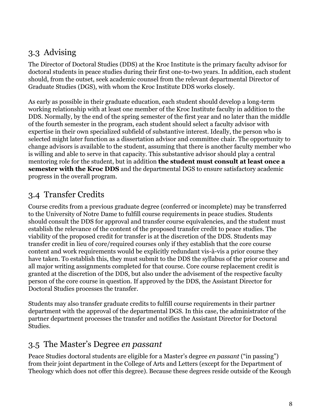## <span id="page-7-0"></span>3.3 Advising

The Director of Doctoral Studies (DDS) at the Kroc Institute is the primary faculty advisor for doctoral students in peace studies during their first one-to-two years. In addition, each student should, from the outset, seek academic counsel from the relevant departmental Director of Graduate Studies (DGS), with whom the Kroc Institute DDS works closely.

As early as possible in their graduate education, each student should develop a long-term working relationship with at least one member of the Kroc Institute faculty in addition to the DDS. Normally, by the end of the spring semester of the first year and no later than the middle of the fourth semester in the program, each student should select a faculty advisor with expertise in their own specialized subfield of substantive interest. Ideally, the person who is selected might later function as a dissertation advisor and committee chair. The opportunity to change advisors is available to the student, assuming that there is another faculty member who is willing and able to serve in that capacity. This substantive advisor should play a central mentoring role for the student, but in addition **the student must consult at least once a semester with the Kroc DDS** and the departmental DGS to ensure satisfactory academic progress in the overall program.

## <span id="page-7-1"></span>3.4 Transfer Credits

Course credits from a previous graduate degree (conferred or incomplete) may be transferred to the University of Notre Dame to fulfill course requirements in peace studies. Students should consult the DDS for approval and transfer course equivalencies, and the student must establish the relevance of the content of the proposed transfer credit to peace studies. The viability of the proposed credit for transfer is at the discretion of the DDS. Students may transfer credit in lieu of core/required courses only if they establish that the core course content and work requirements would be explicitly redundant vis-à-vis a prior course they have taken. To establish this, they must submit to the DDS the syllabus of the prior course and all major writing assignments completed for that course. Core course replacement credit is granted at the discretion of the DDS, but also under the advisement of the respective faculty person of the core course in question. If approved by the DDS, the Assistant Director for Doctoral Studies processes the transfer.

Students may also transfer graduate credits to fulfill course requirements in their partner department with the approval of the departmental DGS. In this case, the administrator of the partner department processes the transfer and notifies the Assistant Director for Doctoral Studies.

### <span id="page-7-2"></span>3.5 The Master's Degree *en passant*

Peace Studies doctoral students are eligible for a Master's degree *en passant* ("in passing") from their joint department in the College of Arts and Letters (except for the Department of Theology which does not offer this degree). Because these degrees reside outside of the Keough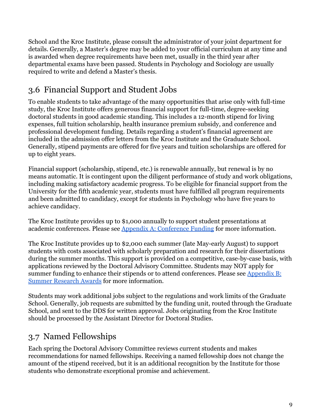School and the Kroc Institute, please consult the administrator of your joint department for details. Generally, a Master's degree may be added to your official curriculum at any time and is awarded when degree requirements have been met, usually in the third year after departmental exams have been passed. Students in Psychology and Sociology are usually required to write and defend a Master's thesis.

# <span id="page-8-0"></span>3.6 Financial Support and Student Jobs

To enable students to take advantage of the many opportunities that arise only with full-time study, the Kroc Institute offers generous financial support for full-time, degree-seeking doctoral students in good academic standing. This includes a 12-month stipend for living expenses, full tuition scholarship, health insurance premium subsidy, and conference and professional development funding. Details regarding a student's financial agreement are included in the admission offer letters from the Kroc Institute and the Graduate School. Generally, stipend payments are offered for five years and tuition scholarships are offered for up to eight years.

Financial support (scholarship, stipend, etc.) is renewable annually, but renewal is by no means automatic. It is contingent upon the diligent performance of study and work obligations, including making satisfactory academic progress. To be eligible for financial support from the University for the fifth academic year, students must have fulfilled all program requirements and been admitted to candidacy, except for students in Psychology who have five years to achieve candidacy.

The Kroc Institute provides up to \$1,000 annually to support student presentations at academic conferences. Please see Appendix A: Conference Funding for more information.

The Kroc Institute provides up to \$2,000 each summer (late May-early August) to support students with costs associated with scholarly preparation and research for their dissertations during the summer months. This support is provided on a competitive, case-by-case basis, with applications reviewed by the Doctoral Advisory Committee. Students may NOT apply for summer funding to enhance their stipends or to attend conferences. Please see Appendix B: Summer Research Awards for more information.

Students may work additional jobs subject to the regulations and work limits of the Graduate School. Generally, job requests are submitted by the funding unit, routed through the Graduate School, and sent to the DDS for written approval. Jobs originating from the Kroc Institute should be processed by the Assistant Director for Doctoral Studies.

# <span id="page-8-1"></span>3.7 Named Fellowships

Each spring the Doctoral Advisory Committee reviews current students and makes recommendations for named fellowships. Receiving a named fellowship does not change the amount of the stipend received, but it is an additional recognition by the Institute for those students who demonstrate exceptional promise and achievement.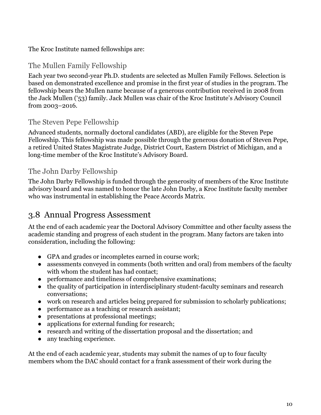#### The Kroc Institute named fellowships are:

#### The Mullen Family Fellowship

Each year two second-year Ph.D. students are selected as Mullen Family Fellows. Selection is based on demonstrated excellence and promise in the first year of studies in the program. The fellowship bears the Mullen name because of a generous contribution received in 2008 from the Jack Mullen ('53) family. Jack Mullen was chair of the Kroc Institute's Advisory Council from 2003–2016.

#### The Steven Pepe Fellowship

Advanced students, normally doctoral candidates (ABD), are eligible for the Steven Pepe Fellowship. This fellowship was made possible through the generous donation of Steven Pepe, a retired United States Magistrate Judge, District Court, Eastern District of Michigan, and a long-time member of the Kroc Institute's Advisory Board.

#### The John Darby Fellowship

The John Darby Fellowship is funded through the generosity of members of the Kroc Institute advisory board and was named to honor the late John Darby, a Kroc Institute faculty member who was instrumental in establishing the Peace Accords Matrix.

### <span id="page-9-0"></span>3.8 Annual Progress Assessment

At the end of each academic year the Doctoral Advisory Committee and other faculty assess the academic standing and progress of each student in the program. Many factors are taken into consideration, including the following:

- GPA and grades or incompletes earned in course work;
- assessments conveyed in comments (both written and oral) from members of the faculty with whom the student has had contact;
- performance and timeliness of comprehensive examinations;
- the quality of participation in interdisciplinary student-faculty seminars and research conversations;
- work on research and articles being prepared for submission to scholarly publications;
- performance as a teaching or research assistant;
- presentations at professional meetings;
- applications for external funding for research;
- research and writing of the dissertation proposal and the dissertation; and
- any teaching experience.

At the end of each academic year, students may submit the names of up to four faculty members whom the DAC should contact for a frank assessment of their work during the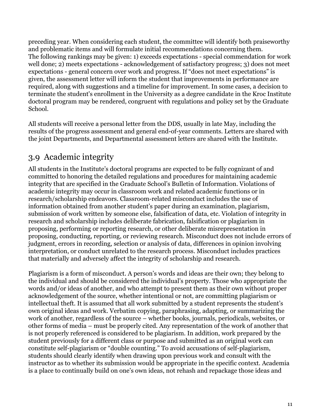preceding year. When considering each student, the committee will identify both praiseworthy and problematic items and will formulate initial recommendations concerning them. The following rankings may be given: 1) exceeds expectations - special commendation for work well done; 2) meets expectations - acknowledgement of satisfactory progress; 3) does not meet expectations - general concern over work and progress. If "does not meet expectations" is given, the assessment letter will inform the student that improvements in performance are required, along with suggestions and a timeline for improvement. In some cases, a decision to terminate the student's enrollment in the University as a degree candidate in the Kroc Institute doctoral program may be rendered, congruent with regulations and policy set by the Graduate School.

All students will receive a personal letter from the DDS, usually in late May, including the results of the progress assessment and general end-of-year comments. Letters are shared with the joint Departments, and Departmental assessment letters are shared with the Institute.

## <span id="page-10-0"></span>3.9 Academic integrity

All students in the Institute's doctoral programs are expected to be fully cognizant of and committed to honoring the detailed regulations and procedures for maintaining academic integrity that are specified in the Graduate School's Bulletin of Information. Violations of academic integrity may occur in classroom work and related academic functions or in research/scholarship endeavors. Classroom-related misconduct includes the use of information obtained from another student's paper during an examination, plagiarism, submission of work written by someone else, falsification of data, etc. Violation of integrity in research and scholarship includes deliberate fabrication, falsification or plagiarism in proposing, performing or reporting research, or other deliberate misrepresentation in proposing, conducting, reporting, or reviewing research. Misconduct does not include errors of judgment, errors in recording, selection or analysis of data, differences in opinion involving interpretation, or conduct unrelated to the research process. Misconduct includes practices that materially and adversely affect the integrity of scholarship and research.

Plagiarism is a form of misconduct. A person's words and ideas are their own; they belong to the individual and should be considered the individual's property. Those who appropriate the words and/or ideas of another, and who attempt to present them as their own without proper acknowledgement of the source, whether intentional or not, are committing plagiarism or intellectual theft. It is assumed that all work submitted by a student represents the student's own original ideas and work. Verbatim copying, paraphrasing, adapting, or summarizing the work of another, regardless of the source – whether books, journals, periodicals, websites, or other forms of media – must be properly cited. Any representation of the work of another that is not properly referenced is considered to be plagiarism. In addition, work prepared by the student previously for a different class or purpose and submitted as an original work can constitute self-plagiarism or "double counting." To avoid accusations of self-plagiarism, students should clearly identify when drawing upon previous work and consult with the instructor as to whether its submission would be appropriate in the specific context. Academia is a place to continually build on one's own ideas, not rehash and repackage those ideas and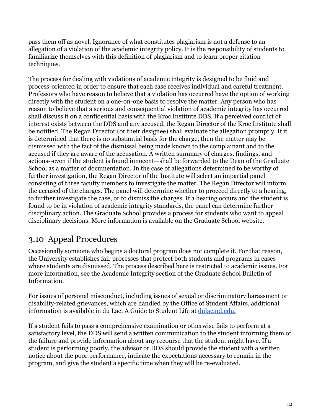pass them off as novel. Ignorance of what constitutes plagiarism is not a defense to an allegation of a violation of the academic integrity policy. It is the responsibility of students to familiarize themselves with this definition of plagiarism and to learn proper citation techniques.

The process for dealing with violations of academic integrity is designed to be fluid and process-oriented in order to ensure that each case receives individual and careful treatment. Professors who have reason to believe that a violation has occurred have the option of working directly with the student on a one-on-one basis to resolve the matter. Any person who has reason to believe that a serious and consequential violation of academic integrity has occurred shall discuss it on a confidential basis with the Kroc Institute DDS. If a perceived conflict of interest exists between the DDS and any accused, the Regan Director of the Kroc Institute shall be notified. The Regan Director (or their designee) shall evaluate the allegation promptly. If it is determined that there is no substantial basis for the charge, then the matter may be dismissed with the fact of the dismissal being made known to the complainant and to the accused if they are aware of the accusation. A written summary of charges, findings, and actions--even if the student is found innocent—shall be forwarded to the Dean of the Graduate School as a matter of documentation. In the case of allegations determined to be worthy of further investigation, the Regan Director of the Institute will select an impartial panel consisting of three faculty members to investigate the matter. The Regan Director will inform the accused of the charges. The panel will determine whether to proceed directly to a hearing, to further investigate the case, or to dismiss the charges. If a hearing occurs and the student is found to be in violation of academic integrity standards, the panel can determine further disciplinary action. The Graduate School provides a process for students who want to appeal disciplinary decisions. More information is available on the Graduate School website.

## <span id="page-11-0"></span>3.10 Appeal Procedures

Occasionally someone who begins a doctoral program does not complete it. For that reason, the University establishes fair processes that protect both students and programs in cases where students are dismissed. The process described here is restricted to academic issues. For more information, see the Academic Integrity section of the Graduate School Bulletin of Information[.](http://registrar.nd.edu/BOI.shtml.)

For issues of personal misconduct, including issues of sexual or discriminatory harassment or disability-related grievances, which are handled by the Office of Student Affairs, additional information is available in du Lac: A Guide to Student Life at [dulac.nd.edu.](http://dulac.nd.edu/.)

If a student fails to pass a comprehensive examination or otherwise fails to perform at a satisfactory level, the DDS will send a written communication to the student informing them of the failure and provide information about any recourse that the student might have. If a student is performing poorly, the advisor or DDS should provide the student with a written notice about the poor performance, indicate the expectations necessary to remain in the program, and give the student a specific time when they will be re-evaluated.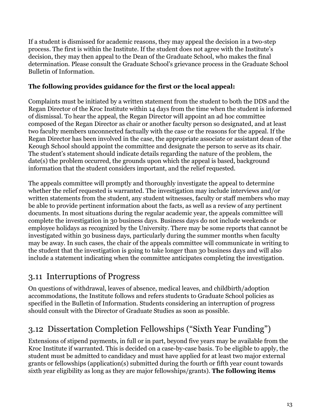If a student is dismissed for academic reasons, they may appeal the decision in a two-step process. The first is within the Institute. If the student does not agree with the Institute's decision, they may then appeal to the Dean of the Graduate School, who makes the final determination. Please consult the Graduate School's grievance process in the Graduate School Bulletin of Information.

#### **The following provides guidance for the first or the local appeal:**

Complaints must be initiated by a written statement from the student to both the DDS and the Regan Director of the Kroc Institute within 14 days from the time when the student is informed of dismissal. To hear the appeal, the Regan Director will appoint an ad hoc committee composed of the Regan Director as chair or another faculty person so designated, and at least two faculty members unconnected factually with the case or the reasons for the appeal. If the Regan Director has been involved in the case, the appropriate associate or assistant dean of the Keough School should appoint the committee and designate the person to serve as its chair. The student's statement should indicate details regarding the nature of the problem, the date(s) the problem occurred, the grounds upon which the appeal is based, background information that the student considers important, and the relief requested.

The appeals committee will promptly and thoroughly investigate the appeal to determine whether the relief requested is warranted. The investigation may include interviews and/or written statements from the student, any student witnesses, faculty or staff members who may be able to provide pertinent information about the facts, as well as a review of any pertinent documents. In most situations during the regular academic year, the appeals committee will complete the investigation in 30 business days. Business days do not include weekends or employee holidays as recognized by the University. There may be some reports that cannot be investigated within 30 business days, particularly during the summer months when faculty may be away. In such cases, the chair of the appeals committee will communicate in writing to the student that the investigation is going to take longer than 30 business days and will also include a statement indicating when the committee anticipates completing the investigation.

## <span id="page-12-0"></span>3.11 Interruptions of Progress

On questions of withdrawal, leaves of absence, medical leaves, and childbirth/adoption accommodations, the Institute follows and refers students to Graduate School policies as specified in the Bulletin of Information. Students considering an interruption of progress should consult with the Director of Graduate Studies as soon as possible.

# <span id="page-12-1"></span>3.12 Dissertation Completion Fellowships ("Sixth Year Funding")

Extensions of stipend payments, in full or in part, beyond five years may be available from the Kroc Institute if warranted. This is decided on a case-by-case basis. To be eligible to apply, the student must be admitted to candidacy and must have applied for at least two major external grants or fellowships (application(s) submitted during the fourth or fifth year count towards sixth year eligibility as long as they are major fellowships/grants). **The following items**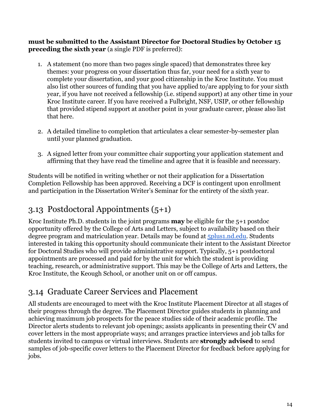**must be submitted to the Assistant Director for Doctoral Studies by October 15 preceding the sixth year** (a single PDF is preferred):

- 1. A statement (no more than two pages single spaced) that demonstrates three key themes: your progress on your dissertation thus far, your need for a sixth year to complete your dissertation, and your good citizenship in the Kroc Institute. You must also list other sources of funding that you have applied to/are applying to for your sixth year, if you have not received a fellowship (i.e. stipend support) at any other time in your Kroc Institute career. If you have received a Fulbright, NSF, USIP, or other fellowship that provided stipend support at another point in your graduate career, please also list that here.
- 2. A detailed timeline to completion that articulates a clear semester-by-semester plan until your planned graduation.
- 3. A signed letter from your committee chair supporting your application statement and affirming that they have read the timeline and agree that it is feasible and necessary.

Students will be notified in writing whether or not their application for a Dissertation Completion Fellowship has been approved. Receiving a DCF is contingent upon enrollment and participation in the Dissertation Writer's Seminar for the entirety of the sixth year.

# <span id="page-13-0"></span>3.13 Postdoctoral Appointments (5+1)

Kroc Institute Ph.D. students in the joint programs **may** be eligible for the 5+1 postdoc opportunity offered by the College of Arts and Letters, subject to availability based on their degree program and matriculation year. Details may be found at [5plus1.nd.edu.](https://5plus1.nd.edu/) Students interested in taking this opportunity should communicate their intent to the Assistant Director for Doctoral Studies who will provide administrative support. Typically, 5+1 postdoctoral appointments are processed and paid for by the unit for which the student is providing teaching, research, or administrative support. This may be the College of Arts and Letters, the Kroc Institute, the Keough School, or another unit on or off campus.

# <span id="page-13-1"></span>3.14 Graduate Career Services and Placement

All students are encouraged to meet with the Kroc Institute Placement Director at all stages of their progress through the degree. The Placement Director guides students in planning and achieving maximum job prospects for the peace studies side of their academic profile. The Director alerts students to relevant job openings; assists applicants in presenting their CV and cover letters in the most appropriate ways; and arranges practice interviews and job talks for students invited to campus or virtual interviews. Students are **strongly advised** to send samples of job-specific cover letters to the Placement Director for feedback before applying for jobs.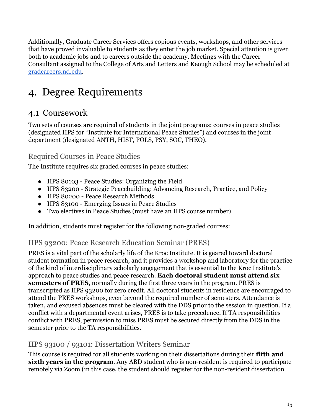Additionally, Graduate Career Services offers copious events, workshops, and other services that have proved invaluable to students as they enter the job market. Special attention is given both to academic jobs and to careers outside the academy. Meetings with the Career Consultant assigned to the College of Arts and Letters and Keough School may be scheduled at [gradcareers.nd.edu](https://gradcareers.nd.edu/).

# <span id="page-14-0"></span>4. Degree Requirements

### <span id="page-14-1"></span>4.1 Coursework

Two sets of courses are required of students in the joint programs: courses in peace studies (designated IIPS for "Institute for International Peace Studies") and courses in the joint department (designated ANTH, HIST, POLS, PSY, SOC, THEO).

### Required Courses in Peace Studies

The Institute requires six graded courses in peace studies:

- IIPS 80103 Peace Studies: Organizing the Field
- IIPS 83200 Strategic Peacebuilding: Advancing Research, Practice, and Policy
- IIPS 80200 Peace Research Methods
- IIPS 83100 Emerging Issues in Peace Studies
- Two electives in Peace Studies (must have an IIPS course number)

In addition, students must register for the following non-graded courses:

### IIPS 93200: Peace Research Education Seminar (PRES)

PRES is a vital part of the scholarly life of the Kroc Institute. It is geared toward doctoral student formation in peace research, and it provides a workshop and laboratory for the practice of the kind of interdisciplinary scholarly engagement that is essential to the Kroc Institute's approach to peace studies and peace research. **Each doctoral student must attend six semesters of PRES**, normally during the first three years in the program. PRES is transcripted as IIPS 93200 for zero credit. All doctoral students in residence are encouraged to attend the PRES workshops, even beyond the required number of semesters. Attendance is taken, and excused absences must be cleared with the DDS prior to the session in question. If a conflict with a departmental event arises, PRES is to take precedence. If TA responsibilities conflict with PRES, permission to miss PRES must be secured directly from the DDS in the semester prior to the TA responsibilities.

### IIPS 93100 / 93101: Dissertation Writers Seminar

This course is required for all students working on their dissertations during their **fifth and sixth years in the program**. Any ABD student who is non-resident is required to participate remotely via Zoom (in this case, the student should register for the non-resident dissertation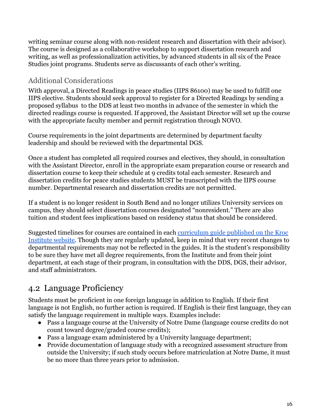writing seminar course along with non-resident research and dissertation with their advisor). The course is designed as a collaborative workshop to support dissertation research and writing, as well as professionalization activities, by advanced students in all six of the Peace Studies joint programs. Students serve as discussants of each other's writing.

### Additional Considerations

With approval, a Directed Readings in peace studies (IIPS 86100) may be used to fulfill one IIPS elective. Students should seek approval to register for a Directed Readings by sending a proposed syllabus to the DDS at least two months in advance of the semester in which the directed readings course is requested. If approved, the Assistant Director will set up the course with the appropriate faculty member and permit registration through NOVO.

Course requirements in the joint departments are determined by department faculty leadership and should be reviewed with the departmental DGS.

Once a student has completed all required courses and electives, they should, in consultation with the Assistant Director, enroll in the appropriate exam preparation course or research and dissertation course to keep their schedule at 9 credits total each semester. Research and dissertation credits for peace studies students MUST be transcripted with the IIPS course number. Departmental research and dissertation credits are not permitted.

If a student is no longer resident in South Bend and no longer utilizes University services on campus, they should select dissertation courses designated "nonresident." There are also tuition and student fees implications based on residency status that should be considered.

Suggested timelines for courses are contained in each [curriculum guide published on the Kroc](https://kroc.nd.edu/ph-d/resources/department-specific-requirements-and-resources/) [Institute website.](https://kroc.nd.edu/ph-d/resources/department-specific-requirements-and-resources/) Though they are regularly updated, keep in mind that very recent changes to departmental requirements may not be reflected in the guides. It is the student's responsibility to be sure they have met all degree requirements, from the Institute and from their joint department, at each stage of their program, in consultation with the DDS, DGS, their advisor, and staff administrators.

# <span id="page-15-0"></span>4.2 Language Proficiency

Students must be proficient in one foreign language in addition to English. If their first language is not English, no further action is required. If English is their first language, they can satisfy the language requirement in multiple ways. Examples include:

- Pass a language course at the University of Notre Dame (language course credits do not count toward degree/graded course credits);
- Pass a language exam administered by a University language department;
- Provide documentation of language study with a recognized assessment structure from outside the University; if such study occurs before matriculation at Notre Dame, it must be no more than three years prior to admission.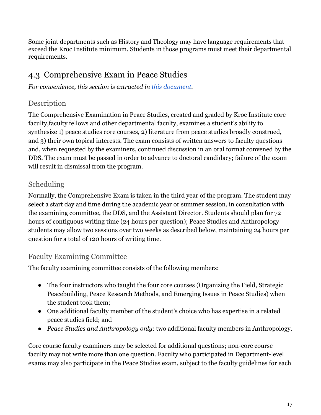Some joint departments such as History and Theology may have language requirements that exceed the Kroc Institute minimum. Students in those programs must meet their departmental requirements.

## <span id="page-16-0"></span>4.3 Comprehensive Exam in Peace Studies

*For convenience, this section is extracted in this [document.](https://docs.google.com/document/d/1xsOoJWbWP2c5xQxIvhJBKctD8RPT_WsI_A8WqCtD5oo/edit?usp=sharing)*

### **Description**

The Comprehensive Examination in Peace Studies, created and graded by Kroc Institute core faculty,faculty fellows and other departmental faculty, examines a student's ability to synthesize 1) peace studies core courses, 2) literature from peace studies broadly construed, and 3) their own topical interests. The exam consists of written answers to faculty questions and, when requested by the examiners, continued discussion in an oral format convened by the DDS. The exam must be passed in order to advance to doctoral candidacy; failure of the exam will result in dismissal from the program.

### Scheduling

Normally, the Comprehensive Exam is taken in the third year of the program. The student may select a start day and time during the academic year or summer session, in consultation with the examining committee, the DDS, and the Assistant Director. Students should plan for 72 hours of contiguous writing time (24 hours per question); Peace Studies and Anthropology students may allow two sessions over two weeks as described below, maintaining 24 hours per question for a total of 120 hours of writing time.

### Faculty Examining Committee

The faculty examining committee consists of the following members:

- The four instructors who taught the four core courses (Organizing the Field, Strategic Peacebuilding, Peace Research Methods, and Emerging Issues in Peace Studies) when the student took them;
- One additional faculty member of the student's choice who has expertise in a related peace studies field; and
- *Peace Studies and Anthropology only*: two additional faculty members in Anthropology.

Core course faculty examiners may be selected for additional questions; non-core course faculty may not write more than one question. Faculty who participated in Department-level exams may also participate in the Peace Studies exam, subject to the faculty guidelines for each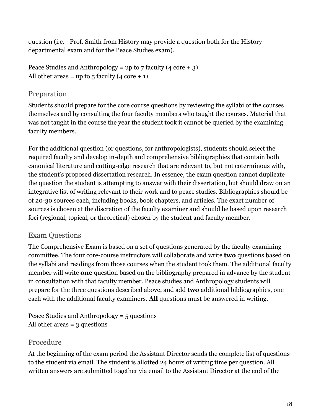question (i.e. - Prof. Smith from History may provide a question both for the History departmental exam and for the Peace Studies exam).

Peace Studies and Anthropology = up to 7 faculty (4 core + 3) All other areas = up to  $5$  faculty (4 core + 1)

### Preparation

Students should prepare for the core course questions by reviewing the syllabi of the courses themselves and by consulting the four faculty members who taught the courses. Material that was not taught in the course the year the student took it cannot be queried by the examining faculty members.

For the additional question (or questions, for anthropologists), students should select the required faculty and develop in-depth and comprehensive bibliographies that contain both canonical literature and cutting-edge research that are relevant to, but not coterminous with, the student's proposed dissertation research. In essence, the exam question cannot duplicate the question the student is attempting to answer with their dissertation, but should draw on an integrative list of writing relevant to their work and to peace studies. Bibliographies should be of 20-30 sources each, including books, book chapters, and articles. The exact number of sources is chosen at the discretion of the faculty examiner and should be based upon research foci (regional, topical, or theoretical) chosen by the student and faculty member.

### Exam Questions

The Comprehensive Exam is based on a set of questions generated by the faculty examining committee. The four core-course instructors will collaborate and write **two** questions based on the syllabi and readings from those courses when the student took them. The additional faculty member will write **one** question based on the bibliography prepared in advance by the student in consultation with that faculty member. Peace studies and Anthropology students will prepare for the three questions described above, and add **two** additional bibliographies, one each with the additional faculty examiners. **All** questions must be answered in writing.

Peace Studies and Anthropology = 5 questions All other areas  $=$  3 questions

### Procedure

At the beginning of the exam period the Assistant Director sends the complete list of questions to the student via email. The student is allotted 24 hours of writing time per question. All written answers are submitted together via email to the Assistant Director at the end of the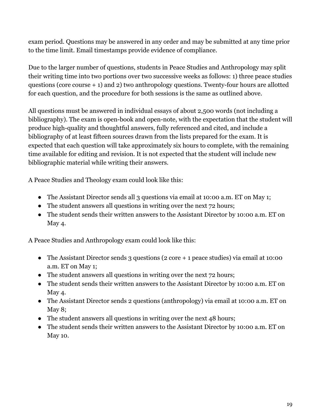exam period. Questions may be answered in any order and may be submitted at any time prior to the time limit. Email timestamps provide evidence of compliance.

Due to the larger number of questions, students in Peace Studies and Anthropology may split their writing time into two portions over two successive weeks as follows: 1) three peace studies questions (core course + 1) and 2) two anthropology questions. Twenty-four hours are allotted for each question, and the procedure for both sessions is the same as outlined above.

All questions must be answered in individual essays of about 2,500 words (not including a bibliography). The exam is open-book and open-note, with the expectation that the student will produce high-quality and thoughtful answers, fully referenced and cited, and include a bibliography of at least fifteen sources drawn from the lists prepared for the exam. It is expected that each question will take approximately six hours to complete, with the remaining time available for editing and revision. It is not expected that the student will include new bibliographic material while writing their answers.

A Peace Studies and Theology exam could look like this:

- The Assistant Director sends all 3 questions via email at 10:00 a.m. ET on May 1;
- The student answers all questions in writing over the next 72 hours;
- The student sends their written answers to the Assistant Director by 10:00 a.m. ET on May 4.

A Peace Studies and Anthropology exam could look like this:

- The Assistant Director sends 3 questions (2 core + 1 peace studies) via email at 10:00 a.m. ET on May 1;
- The student answers all questions in writing over the next 72 hours;
- The student sends their written answers to the Assistant Director by 10:00 a.m. ET on May 4.
- The Assistant Director sends 2 questions (anthropology) via email at 10:00 a.m. ET on May 8;
- The student answers all questions in writing over the next 48 hours;
- The student sends their written answers to the Assistant Director by 10:00 a.m. ET on May 10.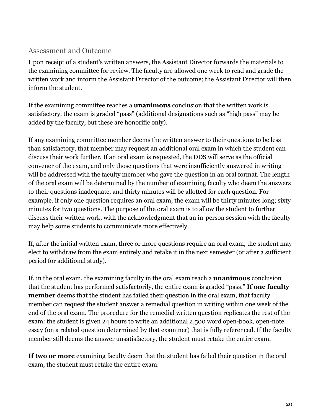#### Assessment and Outcome

Upon receipt of a student's written answers, the Assistant Director forwards the materials to the examining committee for review. The faculty are allowed one week to read and grade the written work and inform the Assistant Director of the outcome; the Assistant Director will then inform the student.

If the examining committee reaches a **unanimous** conclusion that the written work is satisfactory, the exam is graded "pass" (additional designations such as "high pass" may be added by the faculty, but these are honorific only).

If any examining committee member deems the written answer to their questions to be less than satisfactory, that member may request an additional oral exam in which the student can discuss their work further. If an oral exam is requested, the DDS will serve as the official convener of the exam, and only those questions that were insufficiently answered in writing will be addressed with the faculty member who gave the question in an oral format. The length of the oral exam will be determined by the number of examining faculty who deem the answers to their questions inadequate, and thirty minutes will be allotted for each question. For example, if only one question requires an oral exam, the exam will be thirty minutes long; sixty minutes for two questions. The purpose of the oral exam is to allow the student to further discuss their written work, with the acknowledgment that an in-person session with the faculty may help some students to communicate more effectively.

If, after the initial written exam, three or more questions require an oral exam, the student may elect to withdraw from the exam entirely and retake it in the next semester (or after a sufficient period for additional study).

If, in the oral exam, the examining faculty in the oral exam reach a **unanimous** conclusion that the student has performed satisfactorily, the entire exam is graded "pass." **If one faculty member** deems that the student has failed their question in the oral exam, that faculty member can request the student answer a remedial question in writing within one week of the end of the oral exam. The procedure for the remedial written question replicates the rest of the exam: the student is given 24 hours to write an additional 2,500 word open-book, open-note essay (on a related question determined by that examiner) that is fully referenced. If the faculty member still deems the answer unsatisfactory, the student must retake the entire exam.

**If two or more** examining faculty deem that the student has failed their question in the oral exam, the student must retake the entire exam.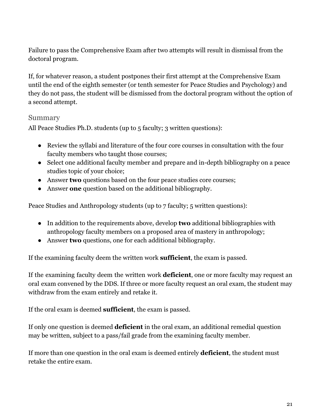Failure to pass the Comprehensive Exam after two attempts will result in dismissal from the doctoral program.

If, for whatever reason, a student postpones their first attempt at the Comprehensive Exam until the end of the eighth semester (or tenth semester for Peace Studies and Psychology) and they do not pass, the student will be dismissed from the doctoral program without the option of a second attempt.

#### Summary

All Peace Studies Ph.D. students (up to 5 faculty; 3 written questions):

- Review the syllabi and literature of the four core courses in consultation with the four faculty members who taught those courses;
- Select one additional faculty member and prepare and in-depth bibliography on a peace studies topic of your choice;
- Answer **two** questions based on the four peace studies core courses;
- Answer **one** question based on the additional bibliography.

Peace Studies and Anthropology students (up to 7 faculty; 5 written questions):

- In addition to the requirements above, develop **two** additional bibliographies with anthropology faculty members on a proposed area of mastery in anthropology;
- Answer **two** questions, one for each additional bibliography.

If the examining faculty deem the written work **sufficient**, the exam is passed.

If the examining faculty deem the written work **deficient**, one or more faculty may request an oral exam convened by the DDS. If three or more faculty request an oral exam, the student may withdraw from the exam entirely and retake it.

If the oral exam is deemed **sufficient**, the exam is passed.

If only one question is deemed **deficient** in the oral exam, an additional remedial question may be written, subject to a pass/fail grade from the examining faculty member.

If more than one question in the oral exam is deemed entirely **deficient**, the student must retake the entire exam.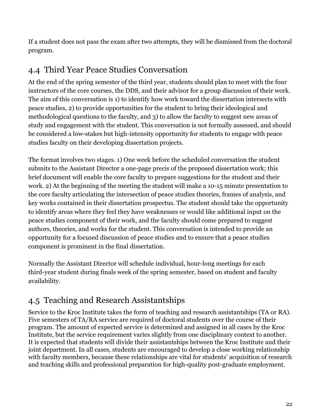If a student does not pass the exam after two attempts, they will be dismissed from the doctoral program.

## <span id="page-21-0"></span>4.4 Third Year Peace Studies Conversation

At the end of the spring semester of the third year, students should plan to meet with the four instructors of the core courses, the DDS, and their advisor for a group discussion of their work. The aim of this conversation is 1) to identify how work toward the dissertation intersects with peace studies, 2) to provide opportunities for the student to bring their ideological and methodological questions to the faculty, and 3) to allow the faculty to suggest new areas of study and engagement with the student. This conversation is not formally assessed, and should be considered a low-stakes but high-intensity opportunity for students to engage with peace studies faculty on their developing dissertation projects.

The format involves two stages. 1) One week before the scheduled conversation the student submits to the Assistant Director a one-page precis of the proposed dissertation work; this brief document will enable the core faculty to prepare suggestions for the student and their work. 2) At the beginning of the meeting the student will make a 10-15 minute presentation to the core faculty articulating the intersection of peace studies theories, frames of analysis, and key works contained in their dissertation prospectus. The student should take the opportunity to identify areas where they feel they have weaknesses or would like additional input on the peace studies component of their work, and the faculty should come prepared to suggest authors, theories, and works for the student. This conversation is intended to provide an opportunity for a focused discussion of peace studies and to ensure that a peace studies component is prominent in the final dissertation.

Normally the Assistant Director will schedule individual, hour-long meetings for each third-year student during finals week of the spring semester, based on student and faculty availability.

# <span id="page-21-1"></span>4.5 Teaching and Research Assistantships

Service to the Kroc Institute takes the form of teaching and research assistantships (TA or RA). Five semesters of TA/RA service are required of doctoral students over the course of their program. The amount of expected service is determined and assigned in all cases by the Kroc Institute, but the service requirement varies slightly from one disciplinary context to another. It is expected that students will divide their assistantships between the Kroc Institute and their joint department. In all cases, students are encouraged to develop a close working relationship with faculty members, because these relationships are vital for students' acquisition of research and teaching skills and professional preparation for high-quality post-graduate employment.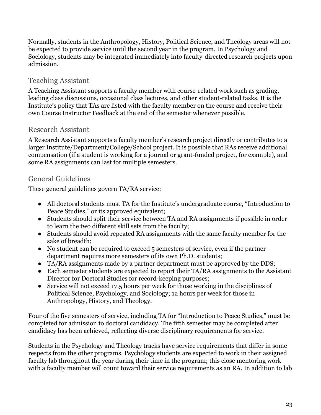Normally, students in the Anthropology, History, Political Science, and Theology areas will not be expected to provide service until the second year in the program. In Psychology and Sociology, students may be integrated immediately into faculty-directed research projects upon admission.

### Teaching Assistant

A Teaching Assistant supports a faculty member with course-related work such as grading, leading class discussions, occasional class lectures, and other student-related tasks. It is the Institute's policy that TAs are listed with the faculty member on the course and receive their own Course Instructor Feedback at the end of the semester whenever possible.

### Research Assistant

A Research Assistant supports a faculty member's research project directly or contributes to a larger Institute/Department/College/School project. It is possible that RAs receive additional compensation (if a student is working for a journal or grant-funded project, for example), and some RA assignments can last for multiple semesters.

### General Guidelines

These general guidelines govern TA/RA service:

- All doctoral students must TA for the Institute's undergraduate course, "Introduction to Peace Studies," or its approved equivalent;
- Students should split their service between TA and RA assignments if possible in order to learn the two different skill sets from the faculty;
- Students should avoid repeated RA assignments with the same faculty member for the sake of breadth;
- No student can be required to exceed 5 semesters of service, even if the partner department requires more semesters of its own Ph.D. students;
- TA/RA assignments made by a partner department must be approved by the DDS;
- Each semester students are expected to report their TA/RA assignments to the Assistant Director for Doctoral Studies for record-keeping purposes;
- Service will not exceed 17.5 hours per week for those working in the disciplines of Political Science, Psychology, and Sociology; 12 hours per week for those in Anthropology, History, and Theology.

Four of the five semesters of service, including TA for "Introduction to Peace Studies," must be completed for admission to doctoral candidacy. The fifth semester may be completed after candidacy has been achieved, reflecting diverse disciplinary requirements for service.

Students in the Psychology and Theology tracks have service requirements that differ in some respects from the other programs. Psychology students are expected to work in their assigned faculty lab throughout the year during their time in the program; this close mentoring work with a faculty member will count toward their service requirements as an RA. In addition to lab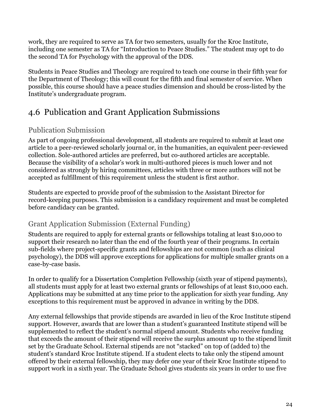work, they are required to serve as TA for two semesters, usually for the Kroc Institute, including one semester as TA for "Introduction to Peace Studies." The student may opt to do the second TA for Psychology with the approval of the DDS.

Students in Peace Studies and Theology are required to teach one course in their fifth year for the Department of Theology; this will count for the fifth and final semester of service. When possible, this course should have a peace studies dimension and should be cross-listed by the Institute's undergraduate program.

# <span id="page-23-0"></span>4.6 Publication and Grant Application Submissions

### Publication Submission

As part of ongoing professional development, all students are required to submit at least one article to a peer-reviewed scholarly journal or, in the humanities, an equivalent peer-reviewed collection. Sole-authored articles are preferred, but co-authored articles are acceptable. Because the visibility of a scholar's work in multi-authored pieces is much lower and not considered as strongly by hiring committees, articles with three or more authors will not be accepted as fulfillment of this requirement unless the student is first author.

Students are expected to provide proof of the submission to the Assistant Director for record-keeping purposes. This submission is a candidacy requirement and must be completed before candidacy can be granted.

### Grant Application Submission (External Funding)

Students are required to apply for external grants or fellowships totaling at least \$10,000 to support their research no later than the end of the fourth year of their programs. In certain sub-fields where project-specific grants and fellowships are not common (such as clinical psychology), the DDS will approve exceptions for applications for multiple smaller grants on a case-by-case basis.

In order to qualify for a Dissertation Completion Fellowship (sixth year of stipend payments), all students must apply for at least two external grants or fellowships of at least \$10,000 each. Applications may be submitted at any time prior to the application for sixth year funding. Any exceptions to this requirement must be approved in advance in writing by the DDS.

Any external fellowships that provide stipends are awarded in lieu of the Kroc Institute stipend support. However, awards that are lower than a student's guaranteed Institute stipend will be supplemented to reflect the student's normal stipend amount. Students who receive funding that exceeds the amount of their stipend will receive the surplus amount up to the stipend limit set by the Graduate School. External stipends are not "stacked" on top of (added to) the student's standard Kroc Institute stipend. If a student elects to take only the stipend amount offered by their external fellowship, they may defer one year of their Kroc Institute stipend to support work in a sixth year. The Graduate School gives students six years in order to use five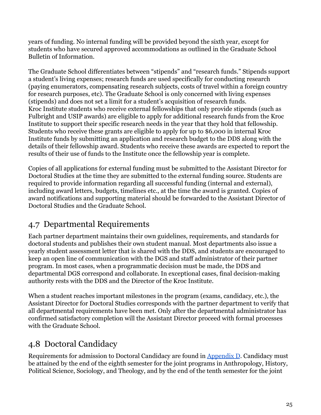years of funding. No internal funding will be provided beyond the sixth year, except for students who have secured approved accommodations as outlined in the Graduate School Bulletin of Information.

The Graduate School differentiates between "stipends" and "research funds." Stipends support a student's living expenses; research funds are used specifically for conducting research (paying enumerators, compensating research subjects, costs of travel within a foreign country for research purposes, etc). The Graduate School is only concerned with living expenses (stipends) and does not set a limit for a student's acquisition of research funds. Kroc Institute students who receive external fellowships that only provide stipends (such as Fulbright and USIP awards) are eligible to apply for additional research funds from the Kroc Institute to support their specific research needs in the year that they hold that fellowship. Students who receive these grants are eligible to apply for up to \$6,000 in internal Kroc Institute funds by submitting an application and research budget to the DDS along with the details of their fellowship award. Students who receive these awards are expected to report the results of their use of funds to the Institute once the fellowship year is complete.

Copies of all applications for external funding must be submitted to the Assistant Director for Doctoral Studies at the time they are submitted to the external funding source. Students are required to provide information regarding all successful funding (internal and external), including award letters, budgets, timelines etc., at the time the award is granted. Copies of award notifications and supporting material should be forwarded to the Assistant Director of Doctoral Studies and the Graduate School.

## <span id="page-24-0"></span>4.7 Departmental Requirements

Each partner department maintains their own guidelines, requirements, and standards for doctoral students and publishes their own student manual. Most departments also issue a yearly student assessment letter that is shared with the DDS, and students are encouraged to keep an open line of communication with the DGS and staff administrator of their partner program. In most cases, when a programmatic decision must be made, the DDS and departmental DGS correspond and collaborate. In exceptional cases, final decision-making authority rests with the DDS and the Director of the Kroc Institute.

When a student reaches important milestones in the program (exams, candidacy, etc.), the Assistant Director for Doctoral Studies corresponds with the partner department to verify that all departmental requirements have been met. Only after the departmental administrator has confirmed satisfactory completion will the Assistant Director proceed with formal processes with the Graduate School.

# <span id="page-24-1"></span>4.8 Doctoral Candidacy

Requirements for admission to Doctoral Candidacy are found in Appendix D. Candidacy must be attained by the end of the eighth semester for the joint programs in Anthropology, History, Political Science, Sociology, and Theology, and by the end of the tenth semester for the joint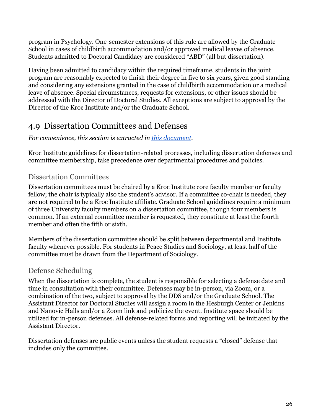program in Psychology. One-semester extensions of this rule are allowed by the Graduate School in cases of childbirth accommodation and/or approved medical leaves of absence. Students admitted to Doctoral Candidacy are considered "ABD" (all but dissertation).

Having been admitted to candidacy within the required timeframe, students in the joint program are reasonably expected to finish their degree in five to six years, given good standing and considering any extensions granted in the case of childbirth accommodation or a medical leave of absence. Special circumstances, requests for extensions, or other issues should be addressed with the Director of Doctoral Studies. All exceptions are subject to approval by the Director of the Kroc Institute and/or the Graduate School.

## <span id="page-25-0"></span>4.9 Dissertation Committees and Defenses

#### *For convenience, this section is extracted in this [document.](https://docs.google.com/document/d/1ASS4ie7CKhNPV-PReUgwzO7XvStBb9cF6JmGBeB_yuM/edit?usp=sharing)*

Kroc Institute guidelines for dissertation-related processes, including dissertation defenses and committee membership, take precedence over departmental procedures and policies.

### Dissertation Committees

Dissertation committees must be chaired by a Kroc Institute core faculty member or faculty fellow; the chair is typically also the student's advisor. If a committee co-chair is needed, they are not required to be a Kroc Institute affiliate. Graduate School guidelines require a minimum of three University faculty members on a dissertation committee, though four members is common. If an external committee member is requested, they constitute at least the fourth member and often the fifth or sixth.

Members of the dissertation committee should be split between departmental and Institute faculty whenever possible. For students in Peace Studies and Sociology, at least half of the committee must be drawn from the Department of Sociology.

### Defense Scheduling

When the dissertation is complete, the student is responsible for selecting a defense date and time in consultation with their committee. Defenses may be in-person, via Zoom, or a combination of the two, subject to approval by the DDS and/or the Graduate School. The Assistant Director for Doctoral Studies will assign a room in the Hesburgh Center or Jenkins and Nanovic Halls and/or a Zoom link and publicize the event. Institute space should be utilized for in-person defenses. All defense-related forms and reporting will be initiated by the Assistant Director.

Dissertation defenses are public events unless the student requests a "closed" defense that includes only the committee.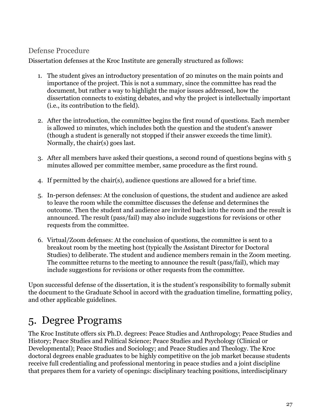#### Defense Procedure

Dissertation defenses at the Kroc Institute are generally structured as follows:

- 1. The student gives an introductory presentation of 20 minutes on the main points and importance of the project. This is not a summary, since the committee has read the document, but rather a way to highlight the major issues addressed, how the dissertation connects to existing debates, and why the project is intellectually important (i.e., its contribution to the field).
- 2. After the introduction, the committee begins the first round of questions. Each member is allowed 10 minutes, which includes both the question and the student's answer (though a student is generally not stopped if their answer exceeds the time limit). Normally, the chair(s) goes last.
- 3. After all members have asked their questions, a second round of questions begins with 5 minutes allowed per committee member, same procedure as the first round.
- 4. If permitted by the chair(s), audience questions are allowed for a brief time.
- 5. In-person defenses: At the conclusion of questions, the student and audience are asked to leave the room while the committee discusses the defense and determines the outcome. Then the student and audience are invited back into the room and the result is announced. The result (pass/fail) may also include suggestions for revisions or other requests from the committee.
- 6. Virtual/Zoom defenses: At the conclusion of questions, the committee is sent to a breakout room by the meeting host (typically the Assistant Director for Doctoral Studies) to deliberate. The student and audience members remain in the Zoom meeting. The committee returns to the meeting to announce the result (pass/fail), which may include suggestions for revisions or other requests from the committee.

Upon successful defense of the dissertation, it is the student's responsibility to formally submit the document to the Graduate School in accord with the graduation timeline, formatting policy, and other applicable guidelines.

# <span id="page-26-0"></span>5. Degree Programs

The Kroc Institute offers six Ph.D. degrees: Peace Studies and Anthropology; Peace Studies and History; Peace Studies and Political Science; Peace Studies and Psychology (Clinical or Developmental); Peace Studies and Sociology; and Peace Studies and Theology. The Kroc doctoral degrees enable graduates to be highly competitive on the job market because students receive full credentialing and professional mentoring in peace studies and a joint discipline that prepares them for a variety of openings: disciplinary teaching positions, interdisciplinary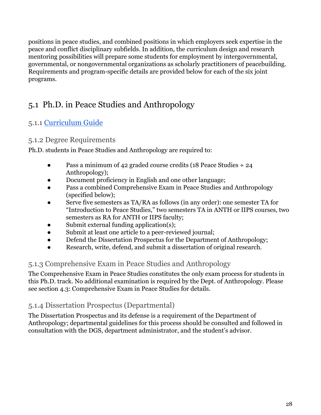positions in peace studies, and combined positions in which employers seek expertise in the peace and conflict disciplinary subfields. In addition, the curriculum design and research mentoring possibilities will prepare some students for employment by intergovernmental, governmental, or nongovernmental organizations as scholarly practitioners of peacebuilding. Requirements and program-specific details are provided below for each of the six joint programs.

# <span id="page-27-0"></span>5.1 Ph.D. in Peace Studies and Anthropology

### 5.1.1 [Curriculum](https://kroc.nd.edu/ph-d/resources/department-specific-requirements-and-resources/) Guide

### 5.1.2 Degree Requirements

Ph.D. students in Peace Studies and Anthropology are required to:

- Pass a minimum of 42 graded course credits (18 Peace Studies + 24 Anthropology);
- Document proficiency in English and one other language;
- Pass a combined Comprehensive Exam in Peace Studies and Anthropology (specified below);
- Serve five semesters as TA/RA as follows (in any order): one semester TA for "Introduction to Peace Studies," two semesters TA in ANTH or IIPS courses, two semesters as RA for ANTH or IIPS faculty;
- Submit external funding application(s);
- Submit at least one article to a peer-reviewed journal;
- Defend the Dissertation Prospectus for the Department of Anthropology;
- Research, write, defend, and submit a dissertation of original research.

### 5.1.3 Comprehensive Exam in Peace Studies and Anthropology

The Comprehensive Exam in Peace Studies constitutes the only exam process for students in this Ph.D. track. No additional examination is required by the Dept. of Anthropology. Please see section 4.3: Comprehensive Exam in Peace Studies for details.

### 5.1.4 Dissertation Prospectus (Departmental)

The Dissertation Prospectus and its defense is a requirement of the Department of Anthropology; departmental guidelines for this process should be consulted and followed in consultation with the DGS, department administrator, and the student's advisor.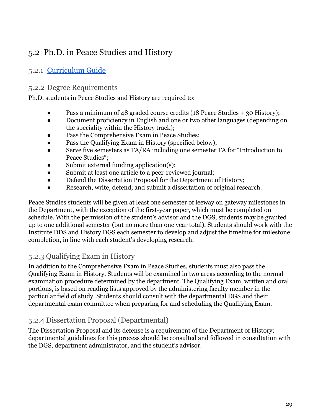# <span id="page-28-0"></span>5.2 Ph.D. in Peace Studies and History

### 5.2.1 [Curriculum](https://kroc.nd.edu/ph-d/resources/department-specific-requirements-and-resources/) Guide

### 5.2.2 Degree Requirements

Ph.D. students in Peace Studies and History are required to:

- Pass a minimum of 48 graded course credits (18 Peace Studies + 30 History);
- Document proficiency in English and one or two other languages (depending on the speciality within the History track);
- Pass the Comprehensive Exam in Peace Studies;
- Pass the Qualifying Exam in History (specified below);
- Serve five semesters as TA/RA including one semester TA for "Introduction to Peace Studies";
- Submit external funding application(s);
- Submit at least one article to a peer-reviewed journal;
- Defend the Dissertation Proposal for the Department of History;
- Research, write, defend, and submit a dissertation of original research.

Peace Studies students will be given at least one semester of leeway on gateway milestones in the Department, with the exception of the first-year paper, which must be completed on schedule. With the permission of the student's advisor and the DGS, students may be granted up to one additional semester (but no more than one year total). Students should work with the Institute DDS and History DGS each semester to develop and adjust the timeline for milestone completion, in line with each student's developing research.

### 5.2.3 Qualifying Exam in History

In addition to the Comprehensive Exam in Peace Studies, students must also pass the Qualifying Exam in History. Students will be examined in two areas according to the normal examination procedure determined by the department. The Qualifying Exam, written and oral portions, is based on reading lists approved by the administering faculty member in the particular field of study. Students should consult with the departmental DGS and their departmental exam committee when preparing for and scheduling the Qualifying Exam.

### 5.2.4 Dissertation Proposal (Departmental)

The Dissertation Proposal and its defense is a requirement of the Department of History; departmental guidelines for this process should be consulted and followed in consultation with the DGS, department administrator, and the student's advisor.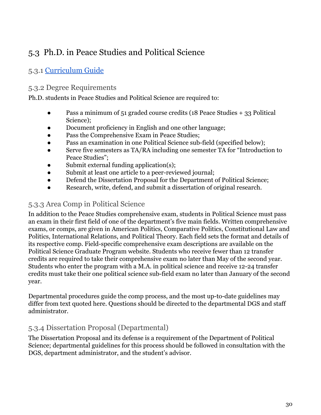# <span id="page-29-0"></span>5.3 Ph.D. in Peace Studies and Political Science

### 5.3.1 [Curriculum](https://kroc.nd.edu/ph-d/resources/department-specific-requirements-and-resources/) Guide

#### 5.3.2 Degree Requirements

Ph.D. students in Peace Studies and Political Science are required to:

- Pass a minimum of 51 graded course credits (18 Peace Studies + 33 Political Science);
- Document proficiency in English and one other language;
- Pass the Comprehensive Exam in Peace Studies;
- Pass an examination in one Political Science sub-field (specified below);
- Serve five semesters as TA/RA including one semester TA for "Introduction to Peace Studies";
- Submit external funding application(s);
- Submit at least one article to a peer-reviewed journal;
- Defend the Dissertation Proposal for the Department of Political Science;
- Research, write, defend, and submit a dissertation of original research.

### 5.3.3 Area Comp in Political Science

In addition to the Peace Studies comprehensive exam, students in Political Science must pass an exam in their first field of one of the department's five main fields. Written comprehensive exams, or comps, are given in American Politics, Comparative Politics, Constitutional Law and Politics, International Relations, and Political Theory. Each field sets the format and details of its respective comp. Field-specific comprehensive exam descriptions are available on the Political Science Graduate Program website. Students who receive fewer than 12 transfer credits are required to take their comprehensive exam no later than May of the second year. Students who enter the program with a M.A. in political science and receive 12-24 transfer credits must take their one political science sub-field exam no later than January of the second year.

Departmental procedures guide the comp process, and the most up-to-date guidelines may differ from text quoted here. Questions should be directed to the departmental DGS and staff administrator.

### 5.3.4 Dissertation Proposal (Departmental)

The Dissertation Proposal and its defense is a requirement of the Department of Political Science; departmental guidelines for this process should be followed in consultation with the DGS, department administrator, and the student's advisor.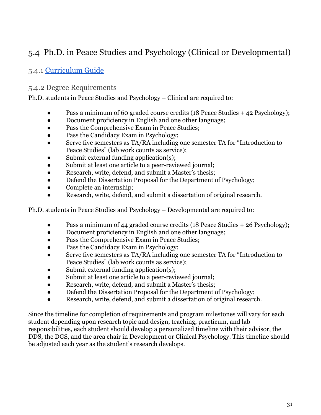## <span id="page-30-0"></span>5.4 Ph.D. in Peace Studies and Psychology (Clinical or Developmental)

### 5.4.1 [Curriculum](https://kroc.nd.edu/ph-d/resources/department-specific-requirements-and-resources/) Guide

#### 5.4.2 Degree Requirements

Ph.D. students in Peace Studies and Psychology – Clinical are required to:

- Pass a minimum of 60 graded course credits (18 Peace Studies  $+$  42 Psychology);
- Document proficiency in English and one other language;
- Pass the Comprehensive Exam in Peace Studies;
- Pass the Candidacy Exam in Psychology;
- Serve five semesters as TA/RA including one semester TA for "Introduction to Peace Studies" (lab work counts as service);
- Submit external funding application(s);
- Submit at least one article to a peer-reviewed journal;
- Research, write, defend, and submit a Master's thesis;
- Defend the Dissertation Proposal for the Department of Psychology;
- Complete an internship;
- Research, write, defend, and submit a dissertation of original research.

Ph.D. students in Peace Studies and Psychology – Developmental are required to:

- Pass a minimum of 44 graded course credits (18 Peace Studies + 26 Psychology);
- Document proficiency in English and one other language;
- Pass the Comprehensive Exam in Peace Studies;
- Pass the Candidacy Exam in Psychology;
- Serve five semesters as TA/RA including one semester TA for "Introduction to Peace Studies" (lab work counts as service);
- Submit external funding application(s);
- Submit at least one article to a peer-reviewed journal;
- Research, write, defend, and submit a Master's thesis;
- Defend the Dissertation Proposal for the Department of Psychology;
- Research, write, defend, and submit a dissertation of original research.

Since the timeline for completion of requirements and program milestones will vary for each student depending upon research topic and design, teaching, practicum, and lab responsibilities, each student should develop a personalized timeline with their advisor, the DDS, the DGS, and the area chair in Development or Clinical Psychology. This timeline should be adjusted each year as the student's research develops.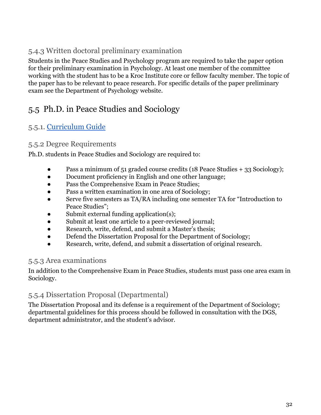### 5.4.3 Written doctoral preliminary examination

Students in the Peace Studies and Psychology program are required to take the paper option for their preliminary examination in Psychology. At least one member of the committee working with the student has to be a Kroc Institute core or fellow faculty member. The topic of the paper has to be relevant to peace research. For specific details of the paper preliminary exam see the Department of Psychology website.

### <span id="page-31-0"></span>5.5 Ph.D. in Peace Studies and Sociology

### 5.5.1. [Curriculum](https://kroc.nd.edu/ph-d/resources/department-specific-requirements-and-resources/) Guide

#### 5.5.2 Degree Requirements

Ph.D. students in Peace Studies and Sociology are required to:

- Pass a minimum of 51 graded course credits (18 Peace Studies + 33 Sociology);
- Document proficiency in English and one other language;
- Pass the Comprehensive Exam in Peace Studies;
- Pass a written examination in one area of Sociology;
- Serve five semesters as TA/RA including one semester TA for "Introduction to Peace Studies";
- Submit external funding application(s);
- Submit at least one article to a peer-reviewed journal;
- Research, write, defend, and submit a Master's thesis;
- Defend the Dissertation Proposal for the Department of Sociology;
- Research, write, defend, and submit a dissertation of original research.

#### 5.5.3 Area examinations

In addition to the Comprehensive Exam in Peace Studies, students must pass one area exam in Sociology.

#### 5.5.4 Dissertation Proposal (Departmental)

The Dissertation Proposal and its defense is a requirement of the Department of Sociology; departmental guidelines for this process should be followed in consultation with the DGS, department administrator, and the student's advisor.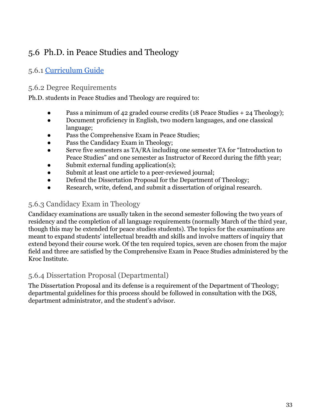# <span id="page-32-0"></span>5.6 Ph.D. in Peace Studies and Theology

### 5.6.1 [Curriculum](https://kroc.nd.edu/ph-d/resources/department-specific-requirements-and-resources/) Guide

#### 5.6.2 Degree Requirements

Ph.D. students in Peace Studies and Theology are required to:

- Pass a minimum of 42 graded course credits (18 Peace Studies  $+ 24$  Theology);
- Document proficiency in English, two modern languages, and one classical language;
- Pass the Comprehensive Exam in Peace Studies;
- Pass the Candidacy Exam in Theology;
- Serve five semesters as TA/RA including one semester TA for "Introduction to Peace Studies" and one semester as Instructor of Record during the fifth year;
- Submit external funding application(s);
- Submit at least one article to a peer-reviewed journal;
- Defend the Dissertation Proposal for the Department of Theology;
- Research, write, defend, and submit a dissertation of original research.

#### 5.6.3 Candidacy Exam in Theology

Candidacy examinations are usually taken in the second semester following the two years of residency and the completion of all language requirements (normally March of the third year, though this may be extended for peace studies students). The topics for the examinations are meant to expand students' intellectual breadth and skills and involve matters of inquiry that extend beyond their course work. Of the ten required topics, seven are chosen from the major field and three are satisfied by the Comprehensive Exam in Peace Studies administered by the Kroc Institute.

#### 5.6.4 Dissertation Proposal (Departmental)

The Dissertation Proposal and its defense is a requirement of the Department of Theology; departmental guidelines for this process should be followed in consultation with the DGS, department administrator, and the student's advisor.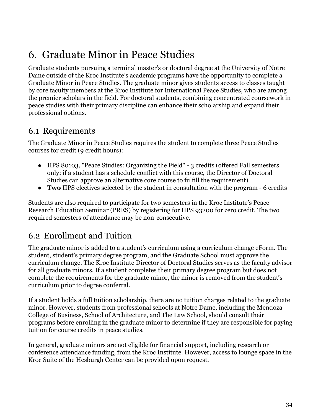# <span id="page-33-0"></span>6. Graduate Minor in Peace Studies

Graduate students pursuing a terminal master's or doctoral degree at the University of Notre Dame outside of the Kroc Institute's academic programs have the opportunity to complete a Graduate Minor in Peace Studies. The graduate minor gives students access to classes taught by core faculty members at the Kroc Institute for International Peace Studies, who are among the premier scholars in the field. For doctoral students, combining concentrated coursework in peace studies with their primary discipline can enhance their scholarship and expand their professional options.

### <span id="page-33-1"></span>6.1 Requirements

The Graduate Minor in Peace Studies requires the student to complete three Peace Studies courses for credit (9 credit hours):

- IIPS 80103, "Peace Studies: Organizing the Field" 3 credits (offered Fall semesters only; if a student has a schedule conflict with this course, the Director of Doctoral Studies can approve an alternative core course to fulfill the requirement)
- **Two** IIPS electives selected by the student in consultation with the program 6 credits

Students are also required to participate for two semesters in the Kroc Institute's Peace Research Education Seminar (PRES) by registering for IIPS 93200 for zero credit. The two required semesters of attendance may be non-consecutive.

### <span id="page-33-2"></span>6.2 Enrollment and Tuition

The graduate minor is added to a student's curriculum using a curriculum change eForm. The student, student's primary degree program, and the Graduate School must approve the curriculum change. The Kroc Institute Director of Doctoral Studies serves as the faculty advisor for all graduate minors. If a student completes their primary degree program but does not complete the requirements for the graduate minor, the minor is removed from the student's curriculum prior to degree conferral.

If a student holds a full tuition scholarship, there are no tuition charges related to the graduate minor. However, students from professional schools at Notre Dame, including the Mendoza College of Business, School of Architecture, and The Law School, should consult their programs before enrolling in the graduate minor to determine if they are responsible for paying tuition for course credits in peace studies.

In general, graduate minors are not eligible for financial support, including research or conference attendance funding, from the Kroc Institute. However, access to lounge space in the Kroc Suite of the Hesburgh Center can be provided upon request.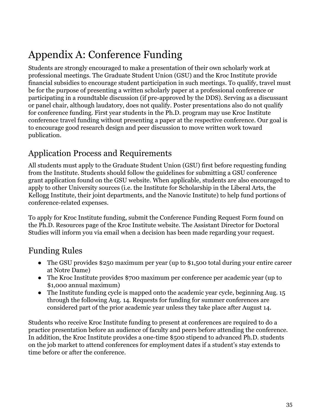# <span id="page-34-0"></span>Appendix A: Conference Funding

Students are strongly encouraged to make a presentation of their own scholarly work at professional meetings. The Graduate Student Union (GSU) and the Kroc Institute provide financial subsidies to encourage student participation in such meetings. To qualify, travel must be for the purpose of presenting a written scholarly paper at a professional conference or participating in a roundtable discussion (if pre-approved by the DDS). Serving as a discussant or panel chair, although laudatory, does not qualify. Poster presentations also do not qualify for conference funding. First year students in the Ph.D. program may use Kroc Institute conference travel funding without presenting a paper at the respective conference. Our goal is to encourage good research design and peer discussion to move written work toward publication.

## Application Process and Requirements

All students must apply to the Graduate Student Union (GSU) first before requesting funding from the Institute. Students should follow the guidelines for submitting a GSU conference grant application found on the GSU website. When applicable, students are also encouraged to apply to other University sources (i.e. the Institute for Scholarship in the Liberal Arts, the Kellogg Institute, their joint departments, and the Nanovic Institute) to help fund portions of conference-related expenses.

To apply for Kroc Institute funding, submit the Conference Funding Request Form found on the Ph.D. Resources page of the Kroc Institute website. The Assistant Director for Doctoral Studies will inform you via email when a decision has been made regarding your request.

## Funding Rules

- The GSU provides \$250 maximum per year (up to \$1,500 total during your entire career at Notre Dame)
- The Kroc Institute provides \$700 maximum per conference per academic year (up to \$1,000 annual maximum)
- The Institute funding cycle is mapped onto the academic year cycle, beginning Aug. 15 through the following Aug. 14. Requests for funding for summer conferences are considered part of the prior academic year unless they take place after August 14.

Students who receive Kroc Institute funding to present at conferences are required to do a practice presentation before an audience of faculty and peers before attending the conference. In addition, the Kroc Institute provides a one-time \$500 stipend to advanced Ph.D. students on the job market to attend conferences for employment dates if a student's stay extends to time before or after the conference.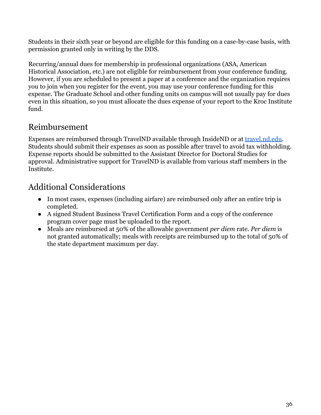Students in their sixth year or beyond are eligible for this funding on a case-by-case basis, with permission granted only in writing by the DDS.

Recurring/annual dues for membership in professional organizations (ASA, American Historical Association, etc.) are not eligible for reimbursement from your conference funding. However, if you are scheduled to present a paper at a conference and the organization requires you to join when you register for the event, you may use your conference funding for this expense. The Graduate School and other funding units on campus will not usually pay for dues even in this situation, so you must allocate the dues expense of your report to the Kroc Institute fund.

## Reimbursement

Expenses are reimbursed through TravelND available through InsideND or at [travel.nd.edu.](https://travel.nd.edu/) Students should submit their expenses as soon as possible after travel to avoid tax withholding. Expense reports should be submitted to the Assistant Director for Doctoral Studies for approval. Administrative support for TravelND is available from various staff members in the Institute.

## Additional Considerations

- In most cases, expenses (including airfare) are reimbursed only after an entire trip is completed.
- A signed Student Business Travel Certification Form and a copy of the conference program cover page must be uploaded to the report.
- Meals are reimbursed at 50% of the allowable government *per diem* rate. *Per diem* is not granted automatically; meals with receipts are reimbursed up to the total of 50% of the state department maximum per day.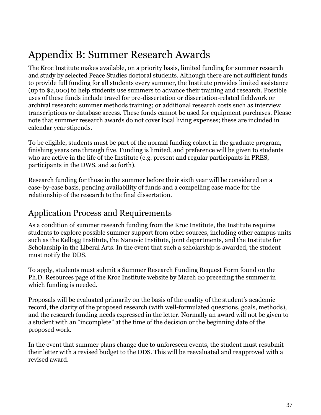# <span id="page-36-0"></span>Appendix B: Summer Research Awards

The Kroc Institute makes available, on a priority basis, limited funding for summer research and study by selected Peace Studies doctoral students. Although there are not sufficient funds to provide full funding for all students every summer, the Institute provides limited assistance (up to \$2,000) to help students use summers to advance their training and research. Possible uses of these funds include travel for pre-dissertation or dissertation-related fieldwork or archival research; summer methods training; or additional research costs such as interview transcriptions or database access. These funds cannot be used for equipment purchases. Please note that summer research awards do not cover local living expenses; these are included in calendar year stipends.

To be eligible, students must be part of the normal funding cohort in the graduate program, finishing years one through five. Funding is limited, and preference will be given to students who are active in the life of the Institute (e.g. present and regular participants in PRES, participants in the DWS, and so forth).

Research funding for those in the summer before their sixth year will be considered on a case-by-case basis, pending availability of funds and a compelling case made for the relationship of the research to the final dissertation.

### Application Process and Requirements

As a condition of summer research funding from the Kroc Institute, the Institute requires students to explore possible summer support from other sources, including other campus units such as the Kellogg Institute, the Nanovic Institute, joint departments, and the Institute for Scholarship in the Liberal Arts. In the event that such a scholarship is awarded, the student must notify the DDS.

To apply, students must submit a Summer Research Funding Request Form found on the Ph.D. Resources page of the Kroc Institute website by March 20 preceding the summer in which funding is needed.

Proposals will be evaluated primarily on the basis of the quality of the student's academic record, the clarity of the proposed research (with well-formulated questions, goals, methods), and the research funding needs expressed in the letter. Normally an award will not be given to a student with an "incomplete" at the time of the decision or the beginning date of the proposed work.

In the event that summer plans change due to unforeseen events, the student must resubmit their letter with a revised budget to the DDS. This will be reevaluated and reapproved with a revised award.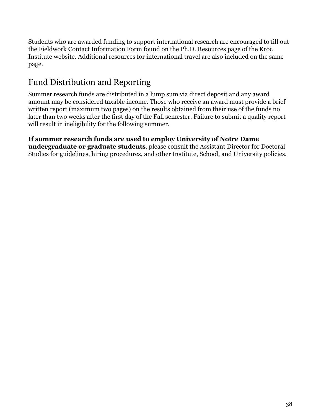Students who are awarded funding to support international research are encouraged to fill out the Fieldwork Contact Information Form found on the Ph.D. Resources page of the Kroc Institute website. Additional resources for international travel are also included on the same page.

# Fund Distribution and Reporting

Summer research funds are distributed in a lump sum via direct deposit and any award amount may be considered taxable income. Those who receive an award must provide a brief written report (maximum two pages) on the results obtained from their use of the funds no later than two weeks after the first day of the Fall semester. Failure to submit a quality report will result in ineligibility for the following summer.

#### **If summer research funds are used to employ University of Notre Dame undergraduate or graduate students**, please consult the Assistant Director for Doctoral Studies for guidelines, hiring procedures, and other Institute, School, and University policies.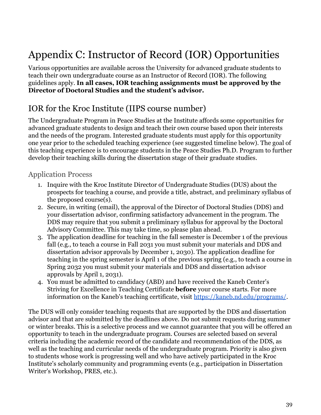# <span id="page-38-0"></span>Appendix C: Instructor of Record (IOR) Opportunities

Various opportunities are available across the University for advanced graduate students to teach their own undergraduate course as an Instructor of Record (IOR). The following guidelines apply. **In all cases, IOR teaching assignments must be approved by the Director of Doctoral Studies and the student's advisor.**

### IOR for the Kroc Institute (IIPS course number)

The Undergraduate Program in Peace Studies at the Institute affords some opportunities for advanced graduate students to design and teach their own course based upon their interests and the needs of the program. Interested graduate students must apply for this opportunity one year prior to the scheduled teaching experience (see suggested timeline below). The goal of this teaching experience is to encourage students in the Peace Studies Ph.D. Program to further develop their teaching skills during the dissertation stage of their graduate studies.

#### Application Process

- 1. Inquire with the Kroc Institute Director of Undergraduate Studies (DUS) about the prospects for teaching a course, and provide a title, abstract, and preliminary syllabus of the proposed course(s).
- 2. Secure, in writing (email), the approval of the Director of Doctoral Studies (DDS) and your dissertation advisor, confirming satisfactory advancement in the program. The DDS may require that you submit a preliminary syllabus for approval by the Doctoral Advisory Committee. This may take time, so please plan ahead.
- 3. The application deadline for teaching in the fall semester is December 1 of the previous fall (e.g., to teach a course in Fall 2031 you must submit your materials and DDS and dissertation advisor approvals by December 1, 2030). The application deadline for teaching in the spring semester is April 1 of the previous spring (e.g., to teach a course in Spring 2032 you must submit your materials and DDS and dissertation advisor approvals by April 1, 2031).
- 4. You must be admitted to candidacy (ABD) and have received the Kaneb Center's Striving for Excellence in Teaching Certificate **before** your course starts. For more information on the Kaneb's teaching certificate, visit <https://kaneb.nd.edu/programs/>.

The DUS will only consider teaching requests that are supported by the DDS and dissertation advisor and that are submitted by the deadlines above. Do not submit requests during summer or winter breaks. This is a selective process and we cannot guarantee that you will be offered an opportunity to teach in the undergraduate program. Courses are selected based on several criteria including the academic record of the candidate and recommendation of the DDS, as well as the teaching and curricular needs of the undergraduate program. Priority is also given to students whose work is progressing well and who have actively participated in the Kroc Institute's scholarly community and programming events (e.g., participation in Dissertation Writer's Workshop, PRES, etc.).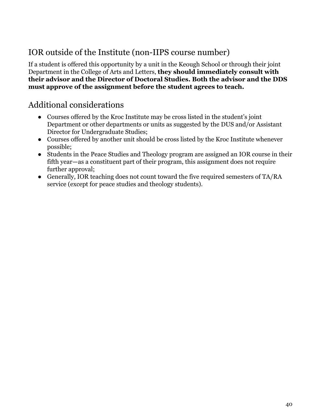# IOR outside of the Institute (non-IIPS course number)

If a student is offered this opportunity by a unit in the Keough School or through their joint Department in the College of Arts and Letters, **they should immediately consult with their advisor and the Director of Doctoral Studies. Both the advisor and the DDS must approve of the assignment before the student agrees to teach.**

### Additional considerations

- Courses offered by the Kroc Institute may be cross listed in the student's joint Department or other departments or units as suggested by the DUS and/or Assistant Director for Undergraduate Studies;
- Courses offered by another unit should be cross listed by the Kroc Institute whenever possible;
- Students in the Peace Studies and Theology program are assigned an IOR course in their fifth year—as a constituent part of their program, this assignment does not require further approval;
- Generally, IOR teaching does not count toward the five required semesters of TA/RA service (except for peace studies and theology students).